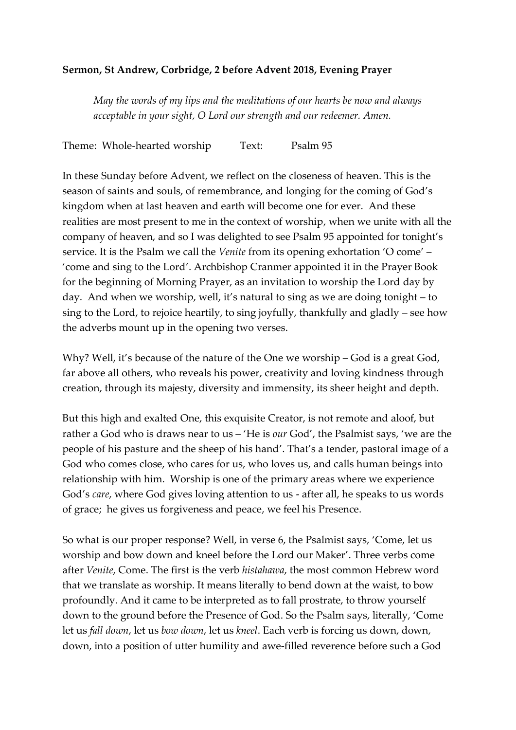## **Sermon, St Andrew, Corbridge, 2 before Advent 2018, Evening Prayer**

*May the words of my lips and the meditations of our hearts be now and always acceptable in your sight, O Lord our strength and our redeemer. Amen.*

Theme: Whole-hearted worship Text: Psalm 95

In these Sunday before Advent, we reflect on the closeness of heaven. This is the season of saints and souls, of remembrance, and longing for the coming of God's kingdom when at last heaven and earth will become one for ever. And these realities are most present to me in the context of worship, when we unite with all the company of heaven, and so I was delighted to see Psalm 95 appointed for tonight's service. It is the Psalm we call the *Venite* from its opening exhortation 'O come' – 'come and sing to the Lord'. Archbishop Cranmer appointed it in the Prayer Book for the beginning of Morning Prayer, as an invitation to worship the Lord day by day. And when we worship, well, it's natural to sing as we are doing tonight – to sing to the Lord, to rejoice heartily, to sing joyfully, thankfully and gladly – see how the adverbs mount up in the opening two verses.

Why? Well, it's because of the nature of the One we worship – God is a great God, far above all others, who reveals his power, creativity and loving kindness through creation, through its majesty, diversity and immensity, its sheer height and depth.

But this high and exalted One, this exquisite Creator, is not remote and aloof, but rather a God who is draws near to us – 'He is *our* God', the Psalmist says, 'we are the people of his pasture and the sheep of his hand'. That's a tender, pastoral image of a God who comes close, who cares for us, who loves us, and calls human beings into relationship with him. Worship is one of the primary areas where we experience God's *care*, where God gives loving attention to us - after all, he speaks to us words of grace; he gives us forgiveness and peace, we feel his Presence.

So what is our proper response? Well, in verse 6, the Psalmist says, 'Come, let us worship and bow down and kneel before the Lord our Maker'. Three verbs come after *Venite*, Come. The first is the verb *histahawa*, the most common Hebrew word that we translate as worship. It means literally to bend down at the waist, to bow profoundly. And it came to be interpreted as to fall prostrate, to throw yourself down to the ground before the Presence of God. So the Psalm says, literally, 'Come let us *fall down*, let us *bow down*, let us *kneel*. Each verb is forcing us down, down, down, into a position of utter humility and awe-filled reverence before such a God